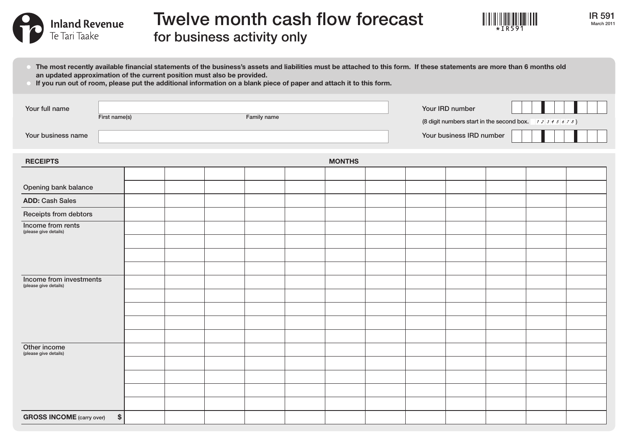

The most recently available financial statements of the business's assets and liabilities must be attached to this form. If these statements are more than 6 months old



IR 591 March 2011

an updated approximation of the current position must also be provided.

| If you run out of room, please put the additional information on a blank piece of paper and attach it to this form. |  |                              |  |  |  |  |  |                                                                           |                          |  |  |  |  |  |
|---------------------------------------------------------------------------------------------------------------------|--|------------------------------|--|--|--|--|--|---------------------------------------------------------------------------|--------------------------|--|--|--|--|--|
| Your full name                                                                                                      |  | First name(s)<br>Family name |  |  |  |  |  | Your IRD number<br>(8 digit numbers start in the second box. $12345678$ ) |                          |  |  |  |  |  |
| Your business name                                                                                                  |  |                              |  |  |  |  |  |                                                                           | Your business IRD number |  |  |  |  |  |
| <b>MONTHS</b><br><b>RECEIPTS</b>                                                                                    |  |                              |  |  |  |  |  |                                                                           |                          |  |  |  |  |  |
|                                                                                                                     |  |                              |  |  |  |  |  |                                                                           |                          |  |  |  |  |  |
| Opening bank balance                                                                                                |  |                              |  |  |  |  |  |                                                                           |                          |  |  |  |  |  |
| <b>ADD: Cash Sales</b>                                                                                              |  |                              |  |  |  |  |  |                                                                           |                          |  |  |  |  |  |
| Receipts from debtors                                                                                               |  |                              |  |  |  |  |  |                                                                           |                          |  |  |  |  |  |
| Income from rents<br>(please give details)                                                                          |  |                              |  |  |  |  |  |                                                                           |                          |  |  |  |  |  |
|                                                                                                                     |  |                              |  |  |  |  |  |                                                                           |                          |  |  |  |  |  |
|                                                                                                                     |  |                              |  |  |  |  |  |                                                                           |                          |  |  |  |  |  |
|                                                                                                                     |  |                              |  |  |  |  |  |                                                                           |                          |  |  |  |  |  |
| Income from investments<br>(please give details)                                                                    |  |                              |  |  |  |  |  |                                                                           |                          |  |  |  |  |  |
|                                                                                                                     |  |                              |  |  |  |  |  |                                                                           |                          |  |  |  |  |  |
|                                                                                                                     |  |                              |  |  |  |  |  |                                                                           |                          |  |  |  |  |  |
|                                                                                                                     |  |                              |  |  |  |  |  |                                                                           |                          |  |  |  |  |  |
|                                                                                                                     |  |                              |  |  |  |  |  |                                                                           |                          |  |  |  |  |  |
| Other income<br>(please give details)                                                                               |  |                              |  |  |  |  |  |                                                                           |                          |  |  |  |  |  |
|                                                                                                                     |  |                              |  |  |  |  |  |                                                                           |                          |  |  |  |  |  |
|                                                                                                                     |  |                              |  |  |  |  |  |                                                                           |                          |  |  |  |  |  |
|                                                                                                                     |  |                              |  |  |  |  |  |                                                                           |                          |  |  |  |  |  |

GROSS INCOME (carry over) \$

Te Tari Taake